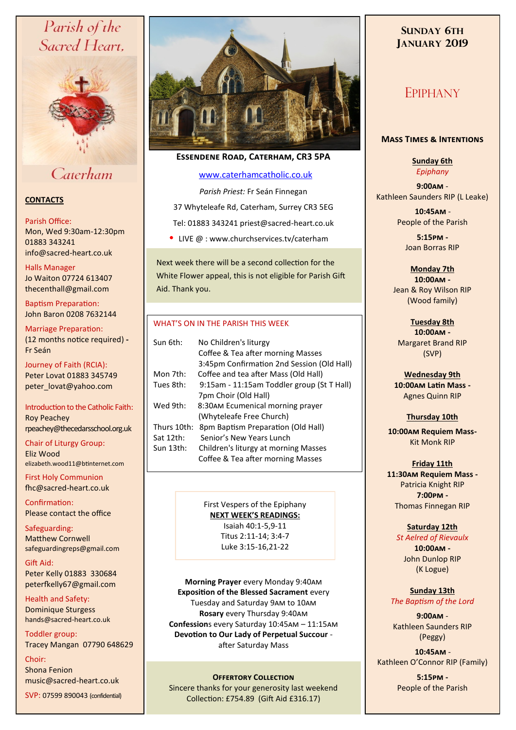# Parish of the Sacred Heart,



# Caterham

## **CONTACTS**

#### Parish Office:

Mon, Wed 9:30am-12:30pm 01883 343241 info@sacred-heart.co.uk .

Halls Manager Jo Waiton 07724 613407

thecenthall@gmail.com Baptism Preparation: John Baron 0208 7632144

Marriage Preparation: (12 months notice required) **-** Fr Seán

Journey of Faith (RCIA): Peter Lovat 01883 345749 peter\_lovat@yahoo.com

Introduction to the Catholic Faith: Roy Peachey rpeachey@thecedarsschool.org.uk

Chair of Liturgy Group: Eliz Wood elizabeth.wood11@btinternet.com

First Holy Communion fhc@sacred-heart.co.uk

Confirmation: Please contact the office

Safeguarding: Matthew Cornwell safeguardingreps@gmail.com

Gift Aid: Peter Kelly 01883 330684 peterfkelly67@gmail.com

Health and Safety: Dominique Sturgess hands@sacred-heart.co.uk

Toddler group: Tracey Mangan 07790 648629

### Choir:

Shona Fenion music@sacred-heart.co.uk

SVP: 07599 890043 (confidential)



## **Essendene Road, Caterham, CR3 5PA**

## [www.caterhamcatholic.co.uk](http://Www.caterhamcatholic.co.uk)

*Parish Priest:* Fr Seán Finnegan 37 Whyteleafe Rd, Caterham, Surrey CR3 5EG Tel: 01883 343241 priest@sacred-heart.co.uk • LIVE  $@:www.churchservices.tv/caterham$ 

Next week there will be a second collection for the White Flower appeal, this is not eligible for Parish Gift Aid. Thank you.

### WHAT'S ON IN THE PARISH THIS WEEK.

| Sun 6th:    | No Children's liturgy                      |
|-------------|--------------------------------------------|
|             | Coffee & Tea after morning Masses          |
|             | 3:45pm Confirmation 2nd Session (Old Hall) |
| Mon 7th:    | Coffee and tea after Mass (Old Hall)       |
| Tues 8th:   | 9:15am - 11:15am Toddler group (St T Hall) |
|             | 7pm Choir (Old Hall)                       |
| Wed 9th:    | 8:30AM Ecumenical morning prayer           |
|             | (Whyteleafe Free Church)                   |
| Thurs 10th: | 8pm Baptism Preparation (Old Hall)         |
| Sat 12th:   | Senior's New Years Lunch                   |
| Sun 13th:   | Children's liturgy at morning Masses       |
|             | Coffee & Tea after morning Masses          |
|             |                                            |

First Vespers of the Epiphany **NEXT WEEK'S READINGS:**  Isaiah 40:1-5,9-11 Titus 2:11-14; 3:4-7 Luke 3:15-16,21-22

**Morning Prayer** every Monday 9:40am **Exposition of the Blessed Sacrament** every Tuesday and Saturday 9am to 10am **Rosary** every Thursday 9:40am **Confession**s every Saturday 10:45am – 11:15am **Devotion to Our Lady of Perpetual Succour**  after Saturday Mass

## **OFFERTORY COLLECTION**

Sincere thanks for your generosity last weekend Collection: £754.89 (Gift Aid £316.17)

## **SUNDAY 6TH JANUARY 2019**

# EPIPHANY

### **Mass Times & Intentions**

**Sunday 6th** *Epiphany*

**9:00am** - Kathleen Saunders RIP (L Leake)

> .**10:45am** - People of the Parish

**5:15pm -** Joan Borras RIP

**Monday 7th 10:00am -**  Jean & Roy Wilson RIP (Wood family)

**Tuesday 8th 10:00am -** Margaret Brand RIP (SVP)

**Wednesday 9th 10:00am Latin Mass -** Agnes Quinn RIP

## **Thursday 10th**

**10:00am Requiem Mass-**Kit Monk RIP

**Friday 11th 11:30am Requiem Mass -** Patricia Knight RIP **7:00pm -** Thomas Finnegan RIP

#### **Saturday 12th**

*St Aelred of Rievaulx* **10:00am -**  John Dunlop RIP (K Logue)

**Sunday 13th** *The Baptism of the Lord*

**9:00am** - Kathleen Saunders RIP (Peggy)

.**10:45am** - Kathleen O'Connor RIP (Family)

> **5:15pm -** People of the Parish